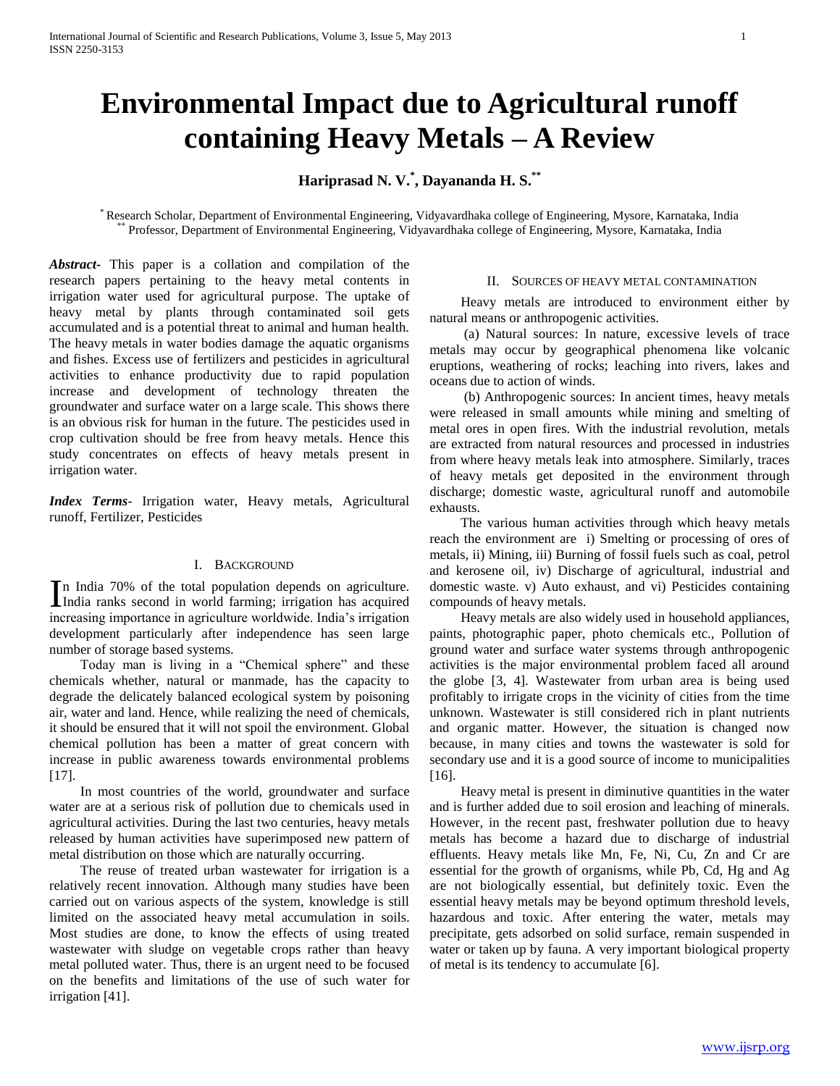# **Environmental Impact due to Agricultural runoff containing Heavy Metals – A Review**

## **Hariprasad N. V. \* , Dayananda H. S. \*\***

\* Research Scholar, Department of Environmental Engineering, Vidyavardhaka college of Engineering, Mysore, Karnataka, India \*\* Professor, Department of Environmental Engineering, Vidyavardhaka college of Engineering, Mysore, Karnataka, India

*Abstract***-** This paper is a collation and compilation of the research papers pertaining to the heavy metal contents in irrigation water used for agricultural purpose. The uptake of heavy metal by plants through contaminated soil gets accumulated and is a potential threat to animal and human health. The heavy metals in water bodies damage the aquatic organisms and fishes. Excess use of fertilizers and pesticides in agricultural activities to enhance productivity due to rapid population increase and development of technology threaten the groundwater and surface water on a large scale. This shows there is an obvious risk for human in the future. The pesticides used in crop cultivation should be free from heavy metals. Hence this study concentrates on effects of heavy metals present in irrigation water.

*Index Terms*- Irrigation water, Heavy metals, Agricultural runoff, Fertilizer, Pesticides

## I. BACKGROUND

n India 70% of the total population depends on agriculture. In India 70% of the total population depends on agriculture.<br>India ranks second in world farming; irrigation has acquired increasing importance in agriculture worldwide. India's irrigation development particularly after independence has seen large number of storage based systems.

 Today man is living in a "Chemical sphere" and these chemicals whether, natural or manmade, has the capacity to degrade the delicately balanced ecological system by poisoning air, water and land. Hence, while realizing the need of chemicals, it should be ensured that it will not spoil the environment. Global chemical pollution has been a matter of great concern with increase in public awareness towards environmental problems [17].

 In most countries of the world, groundwater and surface water are at a serious risk of pollution due to chemicals used in agricultural activities. During the last two centuries, heavy metals released by human activities have superimposed new pattern of metal distribution on those which are naturally occurring.

 The reuse of treated urban wastewater for irrigation is a relatively recent innovation. Although many studies have been carried out on various aspects of the system, knowledge is still limited on the associated heavy metal accumulation in soils. Most studies are done, to know the effects of using treated wastewater with sludge on vegetable crops rather than heavy metal polluted water. Thus, there is an urgent need to be focused on the benefits and limitations of the use of such water for irrigation [41].

#### II. SOURCES OF HEAVY METAL CONTAMINATION

 Heavy metals are introduced to environment either by natural means or anthropogenic activities.

 (a) Natural sources: In nature, excessive levels of trace metals may occur by geographical phenomena like volcanic eruptions, weathering of rocks; leaching into rivers, lakes and oceans due to action of winds.

 (b) Anthropogenic sources: In ancient times, heavy metals were released in small amounts while mining and smelting of metal ores in open fires. With the industrial revolution, metals are extracted from natural resources and processed in industries from where heavy metals leak into atmosphere. Similarly, traces of heavy metals get deposited in the environment through discharge; domestic waste, agricultural runoff and automobile exhausts.

 The various human activities through which heavy metals reach the environment are i) Smelting or processing of ores of metals, ii) Mining, iii) Burning of fossil fuels such as coal, petrol and kerosene oil, iv) Discharge of agricultural, industrial and domestic waste. v) Auto exhaust, and vi) Pesticides containing compounds of heavy metals.

 Heavy metals are also widely used in household appliances, paints, photographic paper, photo chemicals etc., Pollution of ground water and surface water systems through anthropogenic activities is the major environmental problem faced all around the globe [3, 4]. Wastewater from urban area is being used profitably to irrigate crops in the vicinity of cities from the time unknown. Wastewater is still considered rich in plant nutrients and organic matter. However, the situation is changed now because, in many cities and towns the wastewater is sold for secondary use and it is a good source of income to municipalities [16].

 Heavy metal is present in diminutive quantities in the water and is further added due to soil erosion and leaching of minerals. However, in the recent past, freshwater pollution due to heavy metals has become a hazard due to discharge of industrial effluents. Heavy metals like Mn, Fe, Ni, Cu, Zn and Cr are essential for the growth of organisms, while Pb, Cd, Hg and Ag are not biologically essential, but definitely toxic. Even the essential heavy metals may be beyond optimum threshold levels, hazardous and toxic. After entering the water, metals may precipitate, gets adsorbed on solid surface, remain suspended in water or taken up by fauna. A very important biological property of metal is its tendency to accumulate [6].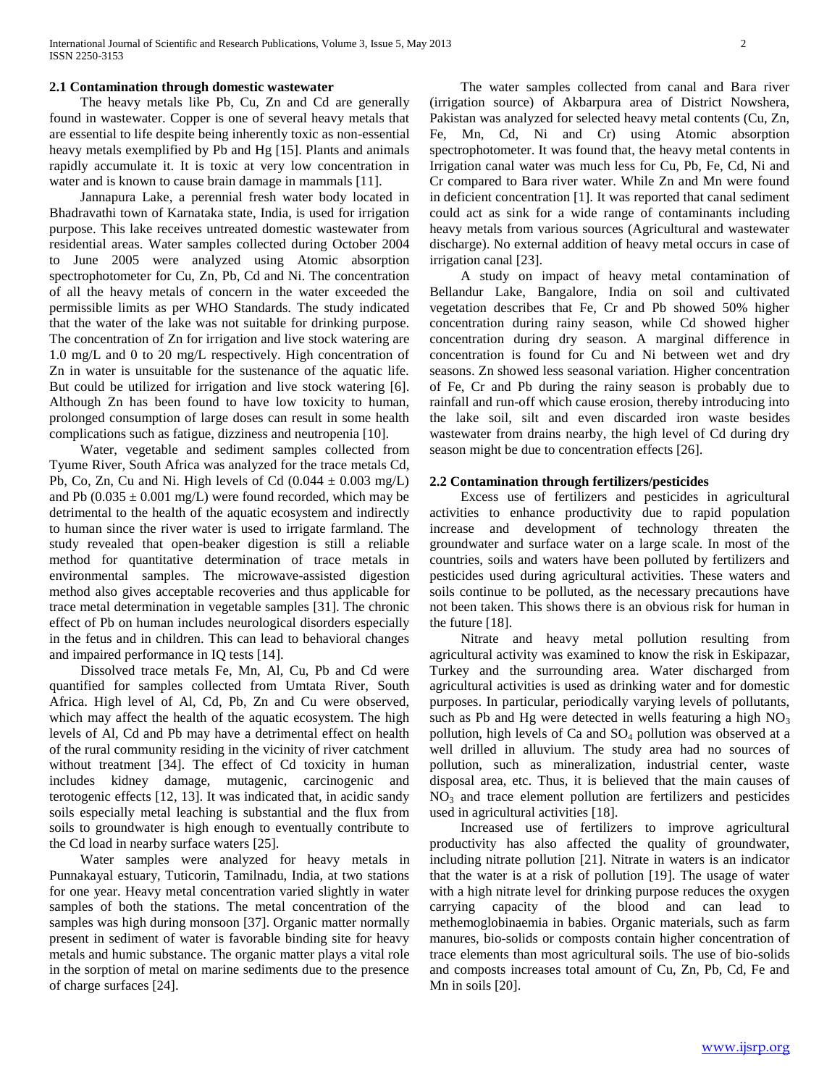#### **2.1 Contamination through domestic wastewater**

 The heavy metals like Pb, Cu, Zn and Cd are generally found in wastewater. Copper is one of several heavy metals that are essential to life despite being inherently toxic as non-essential heavy metals exemplified by Pb and Hg [15]. Plants and animals rapidly accumulate it. It is toxic at very low concentration in water and is known to cause brain damage in mammals [11].

 Jannapura Lake, a perennial fresh water body located in Bhadravathi town of Karnataka state, India, is used for irrigation purpose. This lake receives untreated domestic wastewater from residential areas. Water samples collected during October 2004 to June 2005 were analyzed using Atomic absorption spectrophotometer for Cu, Zn, Pb, Cd and Ni. The concentration of all the heavy metals of concern in the water exceeded the permissible limits as per WHO Standards. The study indicated that the water of the lake was not suitable for drinking purpose. The concentration of Zn for irrigation and live stock watering are 1.0 mg/L and 0 to 20 mg/L respectively. High concentration of Zn in water is unsuitable for the sustenance of the aquatic life. But could be utilized for irrigation and live stock watering [6]. Although Zn has been found to have low toxicity to human, prolonged consumption of large doses can result in some health complications such as fatigue, dizziness and neutropenia [10].

 Water, vegetable and sediment samples collected from Tyume River, South Africa was analyzed for the trace metals Cd, Pb, Co, Zn, Cu and Ni. High levels of Cd  $(0.044 \pm 0.003 \text{ mg/L})$ and Pb  $(0.035 \pm 0.001 \text{ mg/L})$  were found recorded, which may be detrimental to the health of the aquatic ecosystem and indirectly to human since the river water is used to irrigate farmland. The study revealed that open-beaker digestion is still a reliable method for quantitative determination of trace metals in environmental samples. The microwave-assisted digestion method also gives acceptable recoveries and thus applicable for trace metal determination in vegetable samples [31]. The chronic effect of Pb on human includes neurological disorders especially in the fetus and in children. This can lead to behavioral changes and impaired performance in IQ tests [14].

 Dissolved trace metals Fe, Mn, Al, Cu, Pb and Cd were quantified for samples collected from Umtata River, South Africa. High level of Al, Cd, Pb, Zn and Cu were observed, which may affect the health of the aquatic ecosystem. The high levels of Al, Cd and Pb may have a detrimental effect on health of the rural community residing in the vicinity of river catchment without treatment [34]. The effect of Cd toxicity in human includes kidney damage, mutagenic, carcinogenic and terotogenic effects [12, 13]. It was indicated that, in acidic sandy soils especially metal leaching is substantial and the flux from soils to groundwater is high enough to eventually contribute to the Cd load in nearby surface waters [25].

 Water samples were analyzed for heavy metals in Punnakayal estuary, Tuticorin, Tamilnadu, India, at two stations for one year. Heavy metal concentration varied slightly in water samples of both the stations. The metal concentration of the samples was high during monsoon [37]. Organic matter normally present in sediment of water is favorable binding site for heavy metals and humic substance. The organic matter plays a vital role in the sorption of metal on marine sediments due to the presence of charge surfaces [24].

 The water samples collected from canal and Bara river (irrigation source) of Akbarpura area of District Nowshera, Pakistan was analyzed for selected heavy metal contents (Cu, Zn, Fe, Mn, Cd, Ni and Cr) using Atomic absorption spectrophotometer. It was found that, the heavy metal contents in Irrigation canal water was much less for Cu, Pb, Fe, Cd, Ni and Cr compared to Bara river water. While Zn and Mn were found in deficient concentration [1]. It was reported that canal sediment could act as sink for a wide range of contaminants including heavy metals from various sources (Agricultural and wastewater discharge). No external addition of heavy metal occurs in case of irrigation canal [23].

 A study on impact of heavy metal contamination of Bellandur Lake, Bangalore, India on soil and cultivated vegetation describes that Fe, Cr and Pb showed 50% higher concentration during rainy season, while Cd showed higher concentration during dry season. A marginal difference in concentration is found for Cu and Ni between wet and dry seasons. Zn showed less seasonal variation. Higher concentration of Fe, Cr and Pb during the rainy season is probably due to rainfall and run-off which cause erosion, thereby introducing into the lake soil, silt and even discarded iron waste besides wastewater from drains nearby, the high level of Cd during dry season might be due to concentration effects [26].

## **2.2 Contamination through fertilizers/pesticides**

 Excess use of fertilizers and pesticides in agricultural activities to enhance productivity due to rapid population increase and development of technology threaten the groundwater and surface water on a large scale. In most of the countries, soils and waters have been polluted by fertilizers and pesticides used during agricultural activities. These waters and soils continue to be polluted, as the necessary precautions have not been taken. This shows there is an obvious risk for human in the future [18].

 Nitrate and heavy metal pollution resulting from agricultural activity was examined to know the risk in Eskipazar, Turkey and the surrounding area. Water discharged from agricultural activities is used as drinking water and for domestic purposes. In particular, periodically varying levels of pollutants, such as Pb and Hg were detected in wells featuring a high  $NO<sub>3</sub>$ pollution, high levels of Ca and  $SO_4$  pollution was observed at a well drilled in alluvium. The study area had no sources of pollution, such as mineralization, industrial center, waste disposal area, etc. Thus, it is believed that the main causes of  $NO<sub>3</sub>$  and trace element pollution are fertilizers and pesticides used in agricultural activities [18].

 Increased use of fertilizers to improve agricultural productivity has also affected the quality of groundwater, including nitrate pollution [21]. Nitrate in waters is an indicator that the water is at a risk of pollution [19]. The usage of water with a high nitrate level for drinking purpose reduces the oxygen carrying capacity of the blood and can lead to methemoglobinaemia in babies. Organic materials, such as farm manures, bio-solids or composts contain higher concentration of trace elements than most agricultural soils. The use of bio-solids and composts increases total amount of Cu, Zn, Pb, Cd, Fe and Mn in soils [20].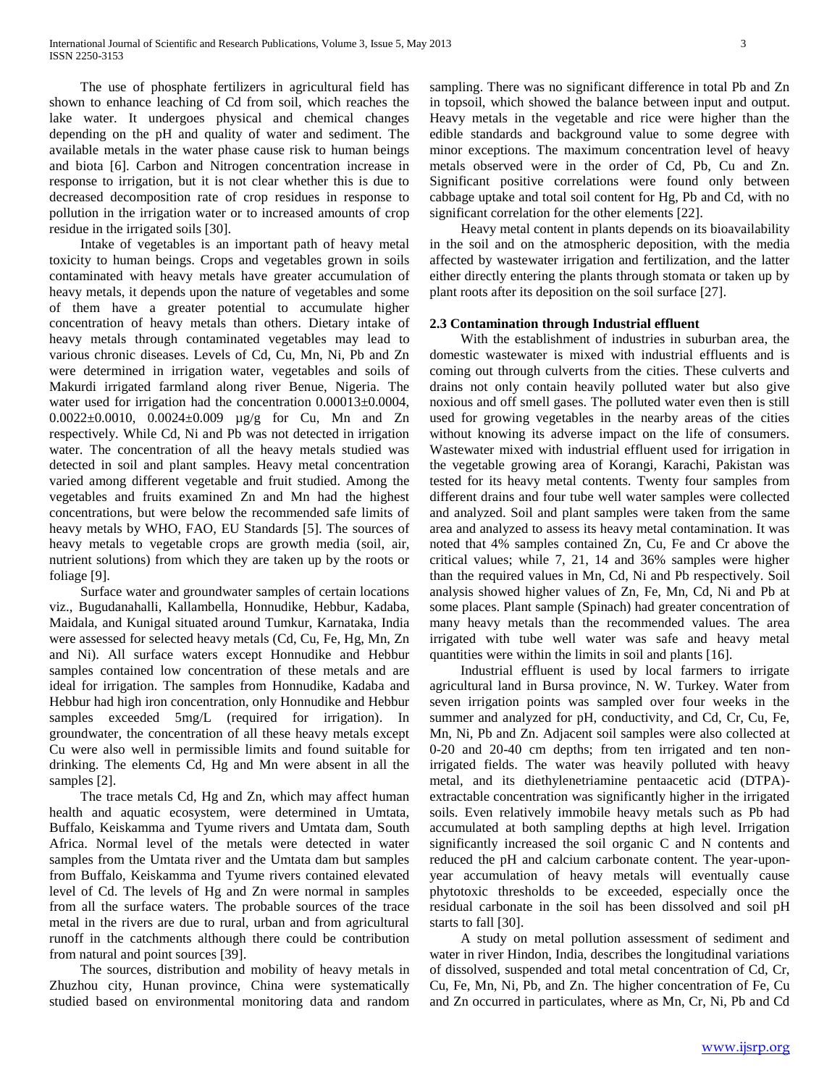The use of phosphate fertilizers in agricultural field has shown to enhance leaching of Cd from soil, which reaches the lake water. It undergoes physical and chemical changes depending on the pH and quality of water and sediment. The available metals in the water phase cause risk to human beings and biota [6]. Carbon and Nitrogen concentration increase in response to irrigation, but it is not clear whether this is due to decreased decomposition rate of crop residues in response to pollution in the irrigation water or to increased amounts of crop residue in the irrigated soils [30].

 Intake of vegetables is an important path of heavy metal toxicity to human beings. Crops and vegetables grown in soils contaminated with heavy metals have greater accumulation of heavy metals, it depends upon the nature of vegetables and some of them have a greater potential to accumulate higher concentration of heavy metals than others. Dietary intake of heavy metals through contaminated vegetables may lead to various chronic diseases. Levels of Cd, Cu, Mn, Ni, Pb and Zn were determined in irrigation water, vegetables and soils of Makurdi irrigated farmland along river Benue, Nigeria. The water used for irrigation had the concentration  $0.00013\pm0.0004$ , 0.0022±0.0010, 0.0024±0.009 µg/g for Cu, Mn and Zn respectively. While Cd, Ni and Pb was not detected in irrigation water. The concentration of all the heavy metals studied was detected in soil and plant samples. Heavy metal concentration varied among different vegetable and fruit studied. Among the vegetables and fruits examined Zn and Mn had the highest concentrations, but were below the recommended safe limits of heavy metals by WHO, FAO, EU Standards [5]. The sources of heavy metals to vegetable crops are growth media (soil, air, nutrient solutions) from which they are taken up by the roots or foliage [9].

 Surface water and groundwater samples of certain locations viz., Bugudanahalli, Kallambella, Honnudike, Hebbur, Kadaba, Maidala, and Kunigal situated around Tumkur, Karnataka, India were assessed for selected heavy metals (Cd, Cu, Fe, Hg, Mn, Zn and Ni). All surface waters except Honnudike and Hebbur samples contained low concentration of these metals and are ideal for irrigation. The samples from Honnudike, Kadaba and Hebbur had high iron concentration, only Honnudike and Hebbur samples exceeded 5mg/L (required for irrigation). In groundwater, the concentration of all these heavy metals except Cu were also well in permissible limits and found suitable for drinking. The elements Cd, Hg and Mn were absent in all the samples [2].

 The trace metals Cd, Hg and Zn, which may affect human health and aquatic ecosystem, were determined in Umtata, Buffalo, Keiskamma and Tyume rivers and Umtata dam, South Africa. Normal level of the metals were detected in water samples from the Umtata river and the Umtata dam but samples from Buffalo, Keiskamma and Tyume rivers contained elevated level of Cd. The levels of Hg and Zn were normal in samples from all the surface waters. The probable sources of the trace metal in the rivers are due to rural, urban and from agricultural runoff in the catchments although there could be contribution from natural and point sources [39].

 The sources, distribution and mobility of heavy metals in Zhuzhou city, Hunan province, China were systematically studied based on environmental monitoring data and random sampling. There was no significant difference in total Pb and Zn in topsoil, which showed the balance between input and output. Heavy metals in the vegetable and rice were higher than the edible standards and background value to some degree with minor exceptions. The maximum concentration level of heavy metals observed were in the order of Cd, Pb, Cu and Zn. Significant positive correlations were found only between cabbage uptake and total soil content for Hg, Pb and Cd, with no significant correlation for the other elements [22].

 Heavy metal content in plants depends on its bioavailability in the soil and on the atmospheric deposition, with the media affected by wastewater irrigation and fertilization, and the latter either directly entering the plants through stomata or taken up by plant roots after its deposition on the soil surface [27].

## **2.3 Contamination through Industrial effluent**

 With the establishment of industries in suburban area, the domestic wastewater is mixed with industrial effluents and is coming out through culverts from the cities. These culverts and drains not only contain heavily polluted water but also give noxious and off smell gases. The polluted water even then is still used for growing vegetables in the nearby areas of the cities without knowing its adverse impact on the life of consumers. Wastewater mixed with industrial effluent used for irrigation in the vegetable growing area of Korangi, Karachi, Pakistan was tested for its heavy metal contents. Twenty four samples from different drains and four tube well water samples were collected and analyzed. Soil and plant samples were taken from the same area and analyzed to assess its heavy metal contamination. It was noted that 4% samples contained Zn, Cu, Fe and Cr above the critical values; while 7, 21, 14 and 36% samples were higher than the required values in Mn, Cd, Ni and Pb respectively. Soil analysis showed higher values of Zn, Fe, Mn, Cd, Ni and Pb at some places. Plant sample (Spinach) had greater concentration of many heavy metals than the recommended values. The area irrigated with tube well water was safe and heavy metal quantities were within the limits in soil and plants [16].

 Industrial effluent is used by local farmers to irrigate agricultural land in Bursa province, N. W. Turkey. Water from seven irrigation points was sampled over four weeks in the summer and analyzed for pH, conductivity, and Cd, Cr, Cu, Fe, Mn, Ni, Pb and Zn. Adjacent soil samples were also collected at 0-20 and 20-40 cm depths; from ten irrigated and ten nonirrigated fields. The water was heavily polluted with heavy metal, and its diethylenetriamine pentaacetic acid (DTPA) extractable concentration was significantly higher in the irrigated soils. Even relatively immobile heavy metals such as Pb had accumulated at both sampling depths at high level. Irrigation significantly increased the soil organic C and N contents and reduced the pH and calcium carbonate content. The year-uponyear accumulation of heavy metals will eventually cause phytotoxic thresholds to be exceeded, especially once the residual carbonate in the soil has been dissolved and soil pH starts to fall [30].

 A study on metal pollution assessment of sediment and water in river Hindon, India, describes the longitudinal variations of dissolved, suspended and total metal concentration of Cd, Cr, Cu, Fe, Mn, Ni, Pb, and Zn. The higher concentration of Fe, Cu and Zn occurred in particulates, where as Mn, Cr, Ni, Pb and Cd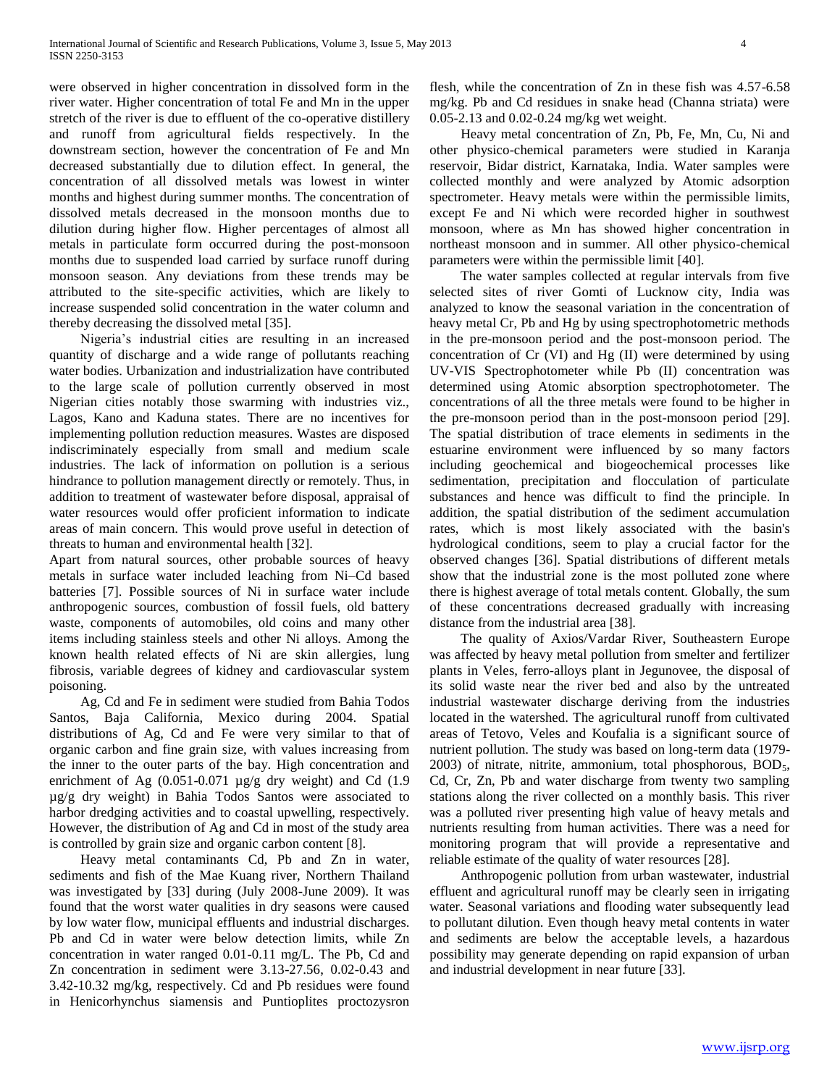were observed in higher concentration in dissolved form in the river water. Higher concentration of total Fe and Mn in the upper stretch of the river is due to effluent of the co-operative distillery and runoff from agricultural fields respectively. In the downstream section, however the concentration of Fe and Mn decreased substantially due to dilution effect. In general, the concentration of all dissolved metals was lowest in winter months and highest during summer months. The concentration of dissolved metals decreased in the monsoon months due to dilution during higher flow. Higher percentages of almost all metals in particulate form occurred during the post-monsoon months due to suspended load carried by surface runoff during monsoon season. Any deviations from these trends may be attributed to the site-specific activities, which are likely to increase suspended solid concentration in the water column and thereby decreasing the dissolved metal [35].

 Nigeria's industrial cities are resulting in an increased quantity of discharge and a wide range of pollutants reaching water bodies. Urbanization and industrialization have contributed to the large scale of pollution currently observed in most Nigerian cities notably those swarming with industries viz., Lagos, Kano and Kaduna states. There are no incentives for implementing pollution reduction measures. Wastes are disposed indiscriminately especially from small and medium scale industries. The lack of information on pollution is a serious hindrance to pollution management directly or remotely. Thus, in addition to treatment of wastewater before disposal, appraisal of water resources would offer proficient information to indicate areas of main concern. This would prove useful in detection of threats to human and environmental health [32].

Apart from natural sources, other probable sources of heavy metals in surface water included leaching from Ni–Cd based batteries [7]. Possible sources of Ni in surface water include anthropogenic sources, combustion of fossil fuels, old battery waste, components of automobiles, old coins and many other items including stainless steels and other Ni alloys. Among the known health related effects of Ni are skin allergies, lung fibrosis, variable degrees of kidney and cardiovascular system poisoning.

 Ag, Cd and Fe in sediment were studied from Bahia Todos Santos, Baja California, Mexico during 2004. Spatial distributions of Ag, Cd and Fe were very similar to that of organic carbon and fine grain size, with values increasing from the inner to the outer parts of the bay. High concentration and enrichment of Ag  $(0.051-0.071 \text{ µg/g dry weight})$  and Cd  $(1.9$ µg/g dry weight) in Bahia Todos Santos were associated to harbor dredging activities and to coastal upwelling, respectively. However, the distribution of Ag and Cd in most of the study area is controlled by grain size and organic carbon content [8].

 Heavy metal contaminants Cd, Pb and Zn in water, sediments and fish of the Mae Kuang river, Northern Thailand was investigated by [33] during (July 2008-June 2009). It was found that the worst water qualities in dry seasons were caused by low water flow, municipal effluents and industrial discharges. Pb and Cd in water were below detection limits, while Zn concentration in water ranged 0.01-0.11 mg/L. The Pb, Cd and Zn concentration in sediment were 3.13-27.56, 0.02-0.43 and 3.42-10.32 mg/kg, respectively. Cd and Pb residues were found in Henicorhynchus siamensis and Puntioplites proctozysron

flesh, while the concentration of Zn in these fish was 4.57-6.58 mg/kg. Pb and Cd residues in snake head (Channa striata) were 0.05-2.13 and 0.02-0.24 mg/kg wet weight.

 Heavy metal concentration of Zn, Pb, Fe, Mn, Cu, Ni and other physico-chemical parameters were studied in Karanja reservoir, Bidar district, Karnataka, India. Water samples were collected monthly and were analyzed by Atomic adsorption spectrometer. Heavy metals were within the permissible limits, except Fe and Ni which were recorded higher in southwest monsoon, where as Mn has showed higher concentration in northeast monsoon and in summer. All other physico-chemical parameters were within the permissible limit [40].

 The water samples collected at regular intervals from five selected sites of river Gomti of Lucknow city, India was analyzed to know the seasonal variation in the concentration of heavy metal Cr, Pb and Hg by using spectrophotometric methods in the pre-monsoon period and the post-monsoon period. The concentration of Cr (VI) and Hg (II) were determined by using UV-VIS Spectrophotometer while Pb (II) concentration was determined using Atomic absorption spectrophotometer. The concentrations of all the three metals were found to be higher in the pre-monsoon period than in the post-monsoon period [29]. The spatial distribution of trace elements in sediments in the estuarine environment were influenced by so many factors including geochemical and biogeochemical processes like sedimentation, precipitation and flocculation of particulate substances and hence was difficult to find the principle. In addition, the spatial distribution of the sediment accumulation rates, which is most likely associated with the basin's hydrological conditions, seem to play a crucial factor for the observed changes [36]. Spatial distributions of different metals show that the industrial zone is the most polluted zone where there is highest average of total metals content. Globally, the sum of these concentrations decreased gradually with increasing distance from the industrial area [38].

 The quality of Axios/Vardar River, Southeastern Europe was affected by heavy metal pollution from smelter and fertilizer plants in Veles, ferro-alloys plant in Jegunovee, the disposal of its solid waste near the river bed and also by the untreated industrial wastewater discharge deriving from the industries located in the watershed. The agricultural runoff from cultivated areas of Tetovo, Veles and Koufalia is a significant source of nutrient pollution. The study was based on long-term data (1979-  $2003$ ) of nitrate, nitrite, ammonium, total phosphorous,  $BOD<sub>5</sub>$ , Cd, Cr, Zn, Pb and water discharge from twenty two sampling stations along the river collected on a monthly basis. This river was a polluted river presenting high value of heavy metals and nutrients resulting from human activities. There was a need for monitoring program that will provide a representative and reliable estimate of the quality of water resources [28].

 Anthropogenic pollution from urban wastewater, industrial effluent and agricultural runoff may be clearly seen in irrigating water. Seasonal variations and flooding water subsequently lead to pollutant dilution. Even though heavy metal contents in water and sediments are below the acceptable levels, a hazardous possibility may generate depending on rapid expansion of urban and industrial development in near future [33].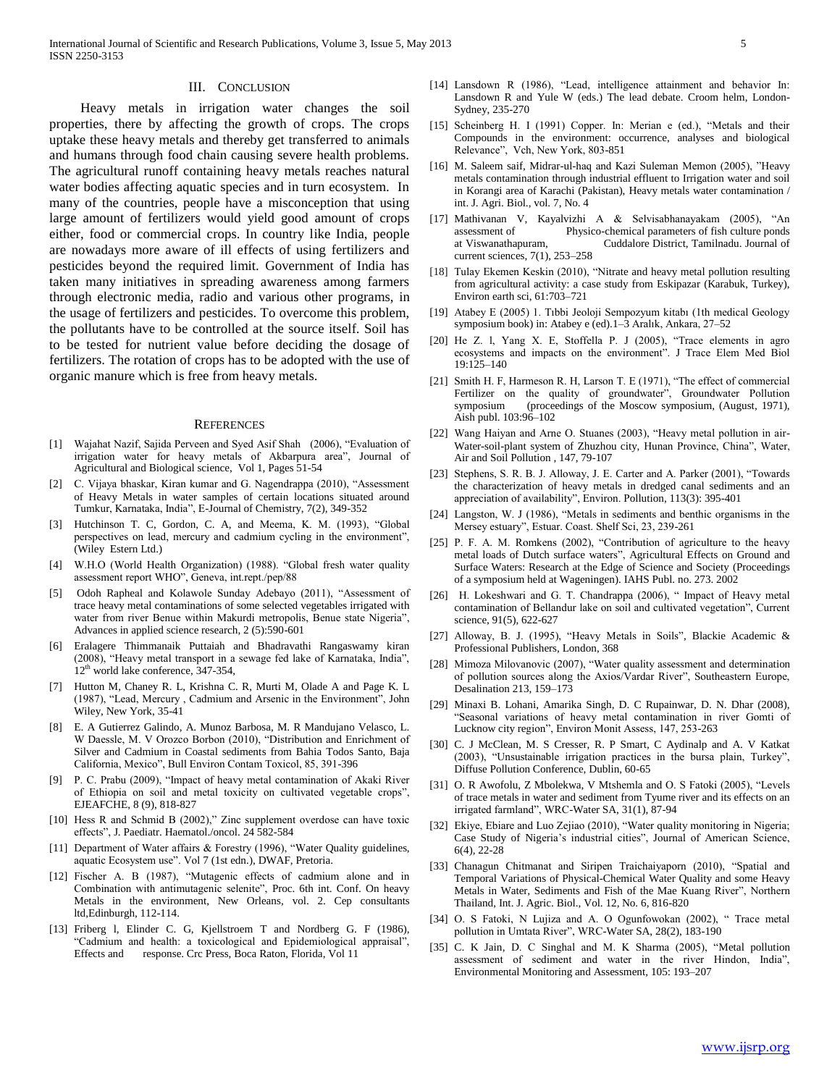#### III. CONCLUSION

 Heavy metals in irrigation water changes the soil properties, there by affecting the growth of crops. The crops uptake these heavy metals and thereby get transferred to animals and humans through food chain causing severe health problems. The agricultural runoff containing heavy metals reaches natural water bodies affecting aquatic species and in turn ecosystem. In many of the countries, people have a misconception that using large amount of fertilizers would yield good amount of crops either, food or commercial crops. In country like India, people are nowadays more aware of ill effects of using fertilizers and pesticides beyond the required limit. Government of India has taken many initiatives in spreading awareness among farmers through electronic media, radio and various other programs, in the usage of fertilizers and pesticides. To overcome this problem, the pollutants have to be controlled at the source itself. Soil has to be tested for nutrient value before deciding the dosage of fertilizers. The rotation of crops has to be adopted with the use of organic manure which is free from heavy metals.

#### **REFERENCES**

- [1] Wajahat Nazif, Sajida Perveen and Syed Asif Shah (2006), "Evaluation of irrigation water for heavy metals of Akbarpura area", Journal of Agricultural and Biological science, Vol 1, Pages 51-54
- [2] C. Vijaya bhaskar, Kiran kumar and G. Nagendrappa (2010), "Assessment of Heavy Metals in water samples of certain locations situated around Tumkur, Karnataka, India", E-Journal of Chemistry, 7(2), 349-352
- [3] Hutchinson T. C, Gordon, C. A, and Meema, K. M. (1993), "Global perspectives on lead, mercury and cadmium cycling in the environment", (Wiley Estern Ltd.)
- [4] W.H.O (World Health Organization) (1988). "Global fresh water quality assessment report WHO", Geneva, int.rept./pep/88
- [5] Odoh Rapheal and Kolawole Sunday Adebayo (2011), "Assessment of trace heavy metal contaminations of some selected vegetables irrigated with water from river Benue within Makurdi metropolis, Benue state Nigeria", Advances in applied science research, 2 (5):590-601
- [6] Eralagere Thimmanaik Puttaiah and Bhadravathi Rangaswamy kiran (2008), "Heavy metal transport in a sewage fed lake of Karnataka, India", 12<sup>th</sup> world lake conference, 347-354,
- [7] Hutton M, Chaney R. L, Krishna C. R, Murti M, Olade A and Page K. L (1987), "Lead, Mercury , Cadmium and Arsenic in the Environment", John Wiley, New York, 35-41
- [8] E. A Gutierrez Galindo, A. Munoz Barbosa, M. R Mandujano Velasco, L. W Daessle, M. V Orozco Borbon (2010), "Distribution and Enrichment of Silver and Cadmium in Coastal sediments from Bahia Todos Santo, Baja California, Mexico", Bull Environ Contam Toxicol, 85, 391-396
- [9] P. C. Prabu (2009), "Impact of heavy metal contamination of Akaki River of Ethiopia on soil and metal toxicity on cultivated vegetable crops", EJEAFCHE, 8 (9), 818-827
- [10] Hess R and Schmid B (2002)," Zinc supplement overdose can have toxic effects", J. Paediatr. Haematol./oncol. 24 582-584
- [11] Department of Water affairs & Forestry (1996), "Water Quality guidelines, aquatic Ecosystem use". Vol 7 (1st edn.), DWAF, Pretoria.
- [12] Fischer A. B (1987), "Mutagenic effects of cadmium alone and in Combination with antimutagenic selenite", Proc. 6th int. Conf. On heavy Metals in the environment, New Orleans, vol. 2. Cep consultants ltd,Edinburgh, 112-114.
- [13] Friberg l, Elinder C. G, Kjellstroem T and Nordberg G. F (1986), "Cadmium and health: a toxicological and Epidemiological appraisal", Effects and response. Crc Press, Boca Raton, Florida, Vol 11
- [14] Lansdown R (1986), "Lead, intelligence attainment and behavior In: Lansdown R and Yule W (eds.) The lead debate. Croom helm, London-Sydney, 235-270
- [15] Scheinberg H. I (1991) Copper. In: Merian e (ed.), "Metals and their Compounds in the environment: occurrence, analyses and biological Relevance", Vch, New York, 803-851
- [16] M. Saleem saif, Midrar-ul-haq and Kazi Suleman Memon (2005), "Heavy metals contamination through industrial effluent to Irrigation water and soil in Korangi area of Karachi (Pakistan), Heavy metals water contamination / int. J. Agri. Biol., vol. 7, No. 4
- [17] Mathivanan V, Kayalvizhi A & Selvisabhanayakam (2005), "An assessment of Physico-chemical parameters of fish culture ponds at Viswanathapuram, Cuddalore District, Tamilnadu. Journal of current sciences, 7(1), 253–258
- [18] Tulay Ekemen Keskin (2010), "Nitrate and heavy metal pollution resulting from agricultural activity: a case study from Eskipazar (Karabuk, Turkey), Environ earth sci, 61:703–721
- [19] Atabey E (2005) 1. Tıbbi Jeoloji Sempozyum kitabı (1th medical Geology symposium book) in: Atabey e (ed).1–3 Aralık, Ankara, 27–52
- [20] He Z. l, Yang X. E, Stoffella P. J (2005), "Trace elements in agro ecosystems and impacts on the environment". J Trace Elem Med Biol 19:125–140
- [21] Smith H. F, Harmeson R. H, Larson T. E (1971), "The effect of commercial Fertilizer on the quality of groundwater", Groundwater Pollution symposium (proceedings of the Moscow symposium, (August, 1971), Aish publ. 103:96–102
- [22] Wang Haiyan and Arne O. Stuanes (2003), "Heavy metal pollution in air-Water-soil-plant system of Zhuzhou city, Hunan Province, China", Water, Air and Soil Pollution , 147, 79-107
- [23] Stephens, S. R. B. J. Alloway, J. E. Carter and A. Parker (2001), "Towards the characterization of heavy metals in dredged canal sediments and an appreciation of availability", Environ. Pollution, 113(3): 395-401
- [24] Langston, W. J (1986), "Metals in sediments and benthic organisms in the Mersey estuary", Estuar. Coast. Shelf Sci, 23, 239-261
- [25] P. F. A. M. Romkens (2002), "Contribution of agriculture to the heavy metal loads of Dutch surface waters", Agricultural Effects on Ground and Surface Waters: Research at the Edge of Science and Society (Proceedings of a symposium held at Wageningen). IAHS Publ. no. 273. 2002
- [26] H. Lokeshwari and G. T. Chandrappa (2006), "Impact of Heavy metal contamination of Bellandur lake on soil and cultivated vegetation", Current science, 91(5), 622-627
- [27] Alloway, B. J. (1995), "Heavy Metals in Soils", Blackie Academic & Professional Publishers, London, 368
- [28] Mimoza Milovanovic (2007), "Water quality assessment and determination of pollution sources along the Axios/Vardar River", Southeastern Europe, Desalination 213, 159–173
- [29] Minaxi B. Lohani, Amarika Singh, D. C Rupainwar, D. N. Dhar (2008), "Seasonal variations of heavy metal contamination in river Gomti of Lucknow city region", Environ Monit Assess, 147, 253-263
- [30] C. J McClean, M. S Cresser, R. P Smart, C Aydinalp and A. V Katkat (2003), "Unsustainable irrigation practices in the bursa plain, Turkey", Diffuse Pollution Conference, Dublin, 60-65
- [31] O. R Awofolu, Z Mbolekwa, V Mtshemla and O. S Fatoki (2005), "Levels of trace metals in water and sediment from Tyume river and its effects on an irrigated farmland", WRC-Water SA, 31(1), 87-94
- [32] Ekiye, Ebiare and Luo Zejiao (2010), "Water quality monitoring in Nigeria; Case Study of Nigeria's industrial cities", Journal of American Science, 6(4), 22-28
- [33] Chanagun Chitmanat and Siripen Traichaiyaporn (2010), "Spatial and Temporal Variations of Physical-Chemical Water Quality and some Heavy Metals in Water, Sediments and Fish of the Mae Kuang River", Northern Thailand, Int. J. Agric. Biol., Vol. 12, No. 6, 816-820
- [34] O. S Fatoki, N Lujiza and A. O Ogunfowokan (2002), " Trace metal pollution in Umtata River", WRC-Water SA, 28(2), 183-190
- [35] C. K Jain, D. C Singhal and M. K Sharma (2005), "Metal pollution assessment of sediment and water in the river Hindon, India", Environmental Monitoring and Assessment, 105: 193–207